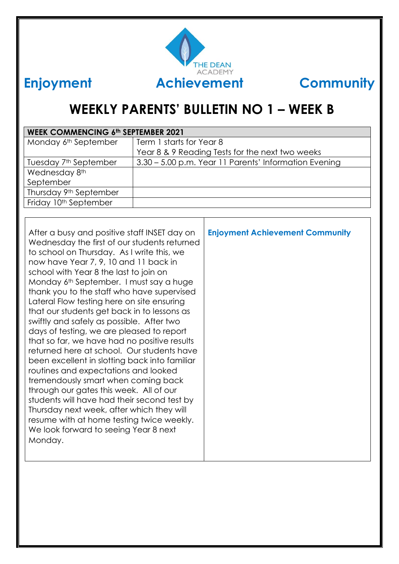

# **WEEKLY PARENTS' BULLETIN NO 1 – WEEK B**

| <b>WEEK COMMENCING 6th SEPTEMBER 2021</b> |                                                       |  |
|-------------------------------------------|-------------------------------------------------------|--|
| Monday 6 <sup>th</sup> September          | Term 1 starts for Year 8                              |  |
|                                           | Year 8 & 9 Reading Tests for the next two weeks       |  |
| Tuesday 7 <sup>th</sup> September         | 3.30 – 5.00 p.m. Year 11 Parents' Information Evening |  |
| Wednesday 8th                             |                                                       |  |
| September                                 |                                                       |  |
| Thursday 9th September                    |                                                       |  |
| Friday 10th September                     |                                                       |  |

After a busy and positive staff INSET day on Wednesday the first of our students returned to school on Thursday. As I write this, we now have Year 7, 9, 10 and 11 back in school with Year 8 the last to join on Monday 6th September. I must say a huge thank you to the staff who have supervised Lateral Flow testing here on site ensuring that our students get back in to lessons as swiftly and safely as possible. After two days of testing, we are pleased to report that so far, we have had no positive results returned here at school. Our students have been excellent in slotting back into familiar routines and expectations and looked tremendously smart when coming back through our gates this week. All of our students will have had their second test by Thursday next week, after which they will resume with at home testing twice weekly. We look forward to seeing Year 8 next Monday. **Enjoyment Achievement Community**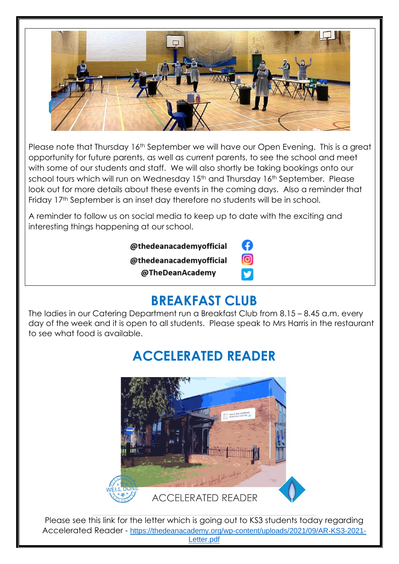

Please note that Thursday 16<sup>th</sup> September we will have our Open Evening. This is a great opportunity for future parents, as well as current parents, to see the school and meet with some of our students and staff. We will also shortly be taking bookings onto our school tours which will run on Wednesday 15<sup>th</sup> and Thursday 16<sup>th</sup> September. Please look out for more details about these events in the coming days. Also a reminder that Friday 17th September is an inset day therefore no students will be in school.

A reminder to follow us on social media to keep up to date with the exciting and interesting things happening at our school.

| @thedeanacademyofficial |          |
|-------------------------|----------|
| @thedeanacademyofficial | <b>C</b> |
| @TheDeanAcademy         | М        |

## **BREAKFAST CLUB**

The ladies in our Catering Department run a Breakfast Club from 8.15 – 8.45 a.m. every day of the week and it is open to all students. Please speak to Mrs Harris in the restaurant to see what food is available.

# **ACCELERATED READER**



Please see this link for the letter which is going out to KS3 students today regarding Accelerated Reader - [https://thedeanacademy.org/wp-content/uploads/2021/09/AR-KS3-2021-](https://thedeanacademy.org/wp-content/uploads/2021/09/AR-KS3-2021-Letter.pdf) [Letter.pdf](https://thedeanacademy.org/wp-content/uploads/2021/09/AR-KS3-2021-Letter.pdf)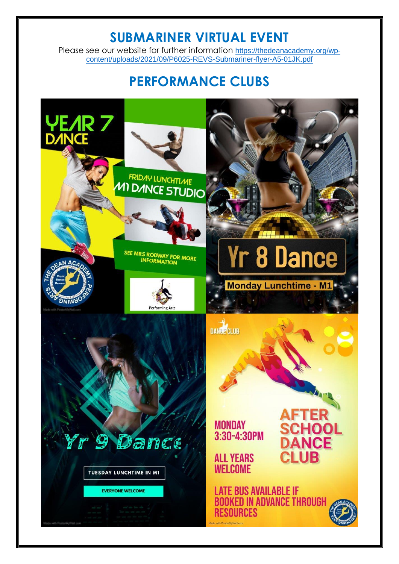#### **SUBMARINER VIRTUAL EVENT**

Please see our website for further information [https://thedeanacademy.org/wp](https://thedeanacademy.org/wp-content/uploads/2021/09/P6025-REVS-Submariner-flyer-A5-01JK.pdf)[content/uploads/2021/09/P6025-REVS-Submariner-flyer-A5-01JK.pdf](https://thedeanacademy.org/wp-content/uploads/2021/09/P6025-REVS-Submariner-flyer-A5-01JK.pdf)

## **PERFORMANCE CLUBS**

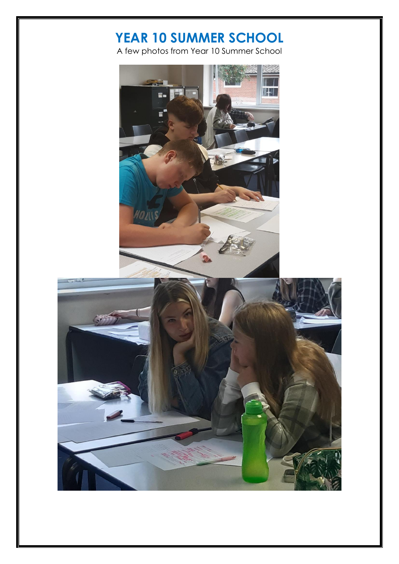## **YEAR 10 SUMMER SCHOOL**

A few photos from Year 10 Summer School